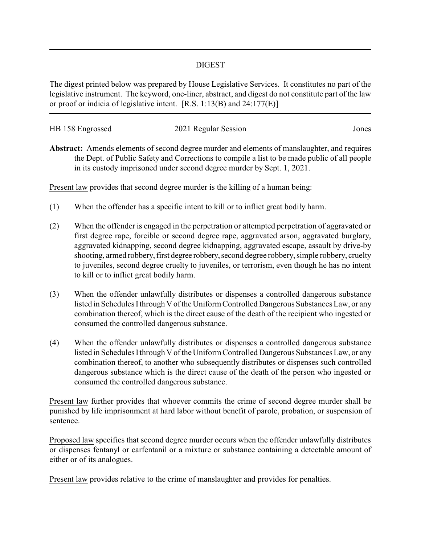## DIGEST

The digest printed below was prepared by House Legislative Services. It constitutes no part of the legislative instrument. The keyword, one-liner, abstract, and digest do not constitute part of the law or proof or indicia of legislative intent. [R.S. 1:13(B) and 24:177(E)]

| HB 158 Engrossed | 2021 Regular Session | Jones |
|------------------|----------------------|-------|
|                  |                      |       |

**Abstract:** Amends elements of second degree murder and elements of manslaughter, and requires the Dept. of Public Safety and Corrections to compile a list to be made public of all people in its custody imprisoned under second degree murder by Sept. 1, 2021.

Present law provides that second degree murder is the killing of a human being:

- (1) When the offender has a specific intent to kill or to inflict great bodily harm.
- (2) When the offender is engaged in the perpetration or attempted perpetration of aggravated or first degree rape, forcible or second degree rape, aggravated arson, aggravated burglary, aggravated kidnapping, second degree kidnapping, aggravated escape, assault by drive-by shooting, armed robbery, first degree robbery, second degree robbery, simple robbery, cruelty to juveniles, second degree cruelty to juveniles, or terrorism, even though he has no intent to kill or to inflict great bodily harm.
- (3) When the offender unlawfully distributes or dispenses a controlled dangerous substance listed in Schedules Ithrough V of the Uniform Controlled Dangerous Substances Law, or any combination thereof, which is the direct cause of the death of the recipient who ingested or consumed the controlled dangerous substance.
- (4) When the offender unlawfully distributes or dispenses a controlled dangerous substance listed in Schedules Ithrough V of the Uniform Controlled Dangerous Substances Law, or any combination thereof, to another who subsequently distributes or dispenses such controlled dangerous substance which is the direct cause of the death of the person who ingested or consumed the controlled dangerous substance.

Present law further provides that whoever commits the crime of second degree murder shall be punished by life imprisonment at hard labor without benefit of parole, probation, or suspension of sentence.

Proposed law specifies that second degree murder occurs when the offender unlawfully distributes or dispenses fentanyl or carfentanil or a mixture or substance containing a detectable amount of either or of its analogues.

Present law provides relative to the crime of manslaughter and provides for penalties.